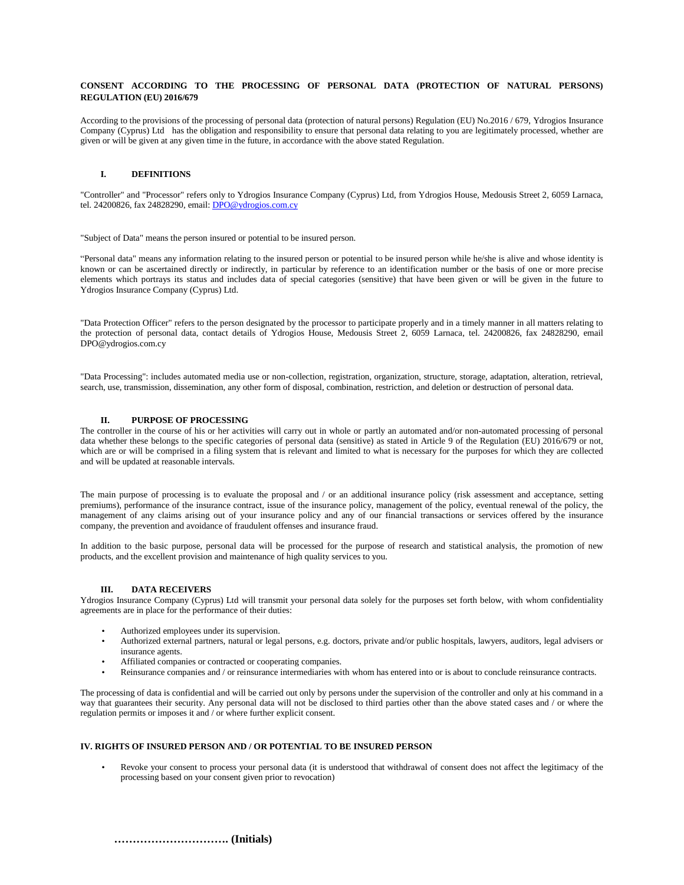## **CONSENT ACCORDING TO THE PROCESSING OF PERSONAL DATA (PROTECTION OF NATURAL PERSONS) REGULATION (EU) 2016/679**

According to the provisions of the processing of personal data (protection of natural persons) Regulation (EU) No.2016 / 679, Ydrogios Insurance Company (Cyprus) Ltd has the obligation and responsibility to ensure that personal data relating to you are legitimately processed, whether are given or will be given at any given time in the future, in accordance with the above stated Regulation.

# **I. DEFINITIONS**

"Controller" and "Processor" refers only to Ydrogios Insurance Company (Cyprus) Ltd, from Ydrogios House, Medousis Street 2, 6059 Larnaca, tel. 24200826, fax 24828290, email: [DPO@ydrogios.com.cy](mailto:DPO@ydrogios.com.cy)

"Subject of Data" means the person insured or potential to be insured person.

"Personal data" means any information relating to the insured person or potential to be insured person while he/she is alive and whose identity is known or can be ascertained directly or indirectly, in particular by reference to an identification number or the basis of one or more precise elements which portrays its status and includes data of special categories (sensitive) that have been given or will be given in the future to Ydrogios Insurance Company (Cyprus) Ltd.

"Data Protection Officer" refers to the person designated by the processor to participate properly and in a timely manner in all matters relating to the protection of personal data, contact details of Ydrogios House, Medousis Street 2, 6059 Larnaca, tel. 24200826, fax 24828290, email DPO@ydrogios.com.cy

"Data Processing": includes automated media use or non-collection, registration, organization, structure, storage, adaptation, alteration, retrieval, search, use, transmission, dissemination, any other form of disposal, combination, restriction, and deletion or destruction of personal data.

#### **II. PURPOSE OF PROCESSING**

The controller in the course of his or her activities will carry out in whole or partly an automated and/or non-automated processing of personal data whether these belongs to the specific categories of personal data (sensitive) as stated in Article 9 of the Regulation (EU) 2016/679 or not, which are or will be comprised in a filing system that is relevant and limited to what is necessary for the purposes for which they are collected and will be updated at reasonable intervals.

The main purpose of processing is to evaluate the proposal and / or an additional insurance policy (risk assessment and acceptance, setting premiums), performance of the insurance contract, issue of the insurance policy, management of the policy, eventual renewal of the policy, the management of any claims arising out of your insurance policy and any of our financial transactions or services offered by the insurance company, the prevention and avoidance of fraudulent offenses and insurance fraud.

In addition to the basic purpose, personal data will be processed for the purpose of research and statistical analysis, the promotion of new products, and the excellent provision and maintenance of high quality services to you.

# **III. DATA RECEIVERS**

Ydrogios Insurance Company (Cyprus) Ltd will transmit your personal data solely for the purposes set forth below, with whom confidentiality agreements are in place for the performance of their duties:

- Authorized employees under its supervision.
- Authorized external partners, natural or legal persons, e.g. doctors, private and/or public hospitals, lawyers, auditors, legal advisers or insurance agents.
- Affiliated companies or contracted or cooperating companies.
- Reinsurance companies and / or reinsurance intermediaries with whom has entered into or is about to conclude reinsurance contracts.

The processing of data is confidential and will be carried out only by persons under the supervision of the controller and only at his command in a way that guarantees their security. Any personal data will not be disclosed to third parties other than the above stated cases and / or where the regulation permits or imposes it and / or where further explicit consent.

#### **IV. RIGHTS OF INSURED PERSON AND / OR POTENTIAL TO BE INSURED PERSON**

• Revoke your consent to process your personal data (it is understood that withdrawal of consent does not affect the legitimacy of the processing based on your consent given prior to revocation)

 **…………………………. (Initials)**